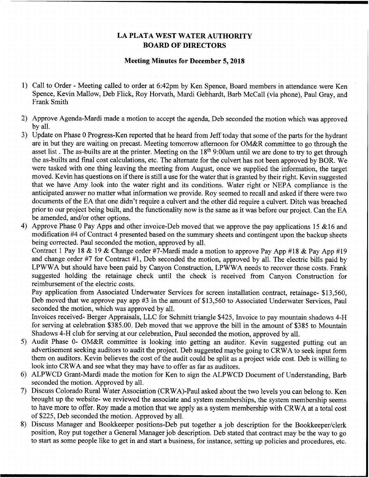## LA PLATA WEST WATER AUTHORITY BOARD OF DIRECTORS

## Meeting Minutes for December 5, 2018

- 1) Call to Order Meeting called to order at 6:42pm by Ken Spence, Board members in attendance were Ken Spence, Kevin Mallow, Deb Flick, Roy Horvath, Mardi Gebhardt, Barb McCall (via phone), Paul Gray, and Frank Smith
- Approve Agenda-Mardi made a motion to accept the agenda, Deb seconded the motion which was approved by all.
- 3) Update on Phase 0 Progress-Ken reported that he heard from Jeff today that some of the parts for the hydrant are in but they are waiting on precast. Meeting tomorrow afternoon for OM&R committee to go through the asset list. The as-builts are at the printer. Meeting on the 18<sup>th</sup> 9:00am until we are done to try to get through the as-builts and final cost calculations, etc. The alternate for the culvert has not been approved by BOR. We were tasked with one thing leaving the meeting from August, once we supplied the information, the target moved. Kevin has questions on if there is still a use for the water that is granted by their right. Kevin suggested that we have Amy look into the water right and its conditions. Water right or NEPA compliance is the anticipated answer no matter what information we provide. Roy seemed to recall and asked if there were two documents of the EA that one didn't require <sup>a</sup> culvert and the other did require <sup>a</sup> culvert. Ditch was breached prior to our project being built, and the functionality now is the same as it was before our project. Can the EA be amended, and/or other options.
- 4) Approve Phase 0 Pay Apps and other invoice-Deb moved that we approve the pay applications 15  $&$  16 and modification #4 of Contract 4 presented based on the summary sheets and contingent upon the backup sheets being corrected. Paul seconded the motion, approved by all.

Contract 1 Pay 18 & 19 & Change order #7-Mardi made a motion to approve Pay App #18 & Pay App #19 and change order #7 for Contract #1, Deb seconded the motion, approved by all. The electric bills paid by LPWWA but should have been paid by Canyon Construction, LPWWA needs to recover those costs. Frank suggested holding the retainage check until the check is received from Canyon Construction for reimbursement of the electric costs.

Pay application from Associated Underwater Services for screen installation contract, retainage- \$13,560, Deb moved that we approve pay app #3 in the amount of \$13,560 to Associated Underwater Services, Paul seconded the motion, which was approved by all.

Invoices received- Berger Appraisals, LLC for Schmitt triangle \$425, Invoice to pay mountain shadows 4-H for serving at celebration \$385.00. Deb moved that we approve the bill in the amount of \$385 to Mountain Shadows 4-H club for serving at our celebration, Paul seconded the motion, approved by all.

- 5) Audit Phase 0- OM&R committee is looking into getting an auditor. Kevin suggested putting out an advertisement seeking auditors to audit the project. Deb suggested maybe going to CRWA to seek input form them on auditors. Kevin believes the cost of the audit could be split as <sup>a</sup> project wide cost. Deb is willing to look into CRWA and see what they may have to offer as far as auditors.
- ALPWCD Grant-Mardi made the motion for Ken to sign the ALPWCD Document of Understanding, Barb seconded the motion. Approved by all.
- Discuss Colorado Rural Water Association (CRWA)-Paul asked about the two levels you can belong to. Ken brought up the website- we reviewed the associate and system memberships, the system membership seems to have more to offer. Roy made a motion that we apply as a system membership with CRWA at a total cost of \$225, Deb seconded the motion. Approved by all.
- Discuss Manager and Bookkeeper positions-Deb put together a job description for the Bookkeeper/clerk position, Roy put together a General Manager job description. Deb stated that contract may be the Way to go to start as some people like to get in and start a business, for instance, setting up policies and procedures, etc.